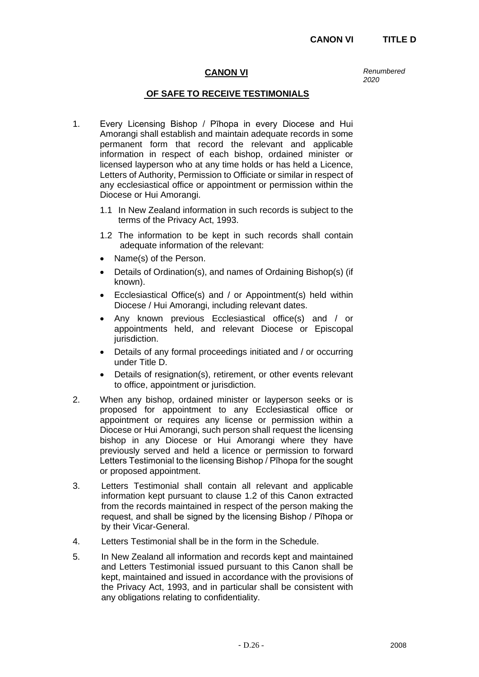# **CANON VI** *Renumbered*

*2020*

## **OF SAFE TO RECEIVE TESTIMONIALS**

- 1. Every Licensing Bishop / Pīhopa in every Diocese and Hui Amorangi shall establish and maintain adequate records in some permanent form that record the relevant and applicable information in respect of each bishop, ordained minister or licensed layperson who at any time holds or has held a Licence, Letters of Authority, Permission to Officiate or similar in respect of any ecclesiastical office or appointment or permission within the Diocese or Hui Amorangi.
	- 1.1 In New Zealand information in such records is subject to the terms of the Privacy Act, 1993.
	- 1.2 The information to be kept in such records shall contain adequate information of the relevant:
	- Name(s) of the Person.
	- Details of Ordination(s), and names of Ordaining Bishop(s) (if known).
	- Ecclesiastical Office(s) and / or Appointment(s) held within Diocese / Hui Amorangi, including relevant dates.
	- Any known previous Ecclesiastical office(s) and / or appointments held, and relevant Diocese or Episcopal jurisdiction.
	- Details of any formal proceedings initiated and / or occurring under Title D.
	- Details of resignation(s), retirement, or other events relevant to office, appointment or jurisdiction.
- 2. When any bishop, ordained minister or layperson seeks or is proposed for appointment to any Ecclesiastical office or appointment or requires any license or permission within a Diocese or Hui Amorangi, such person shall request the licensing bishop in any Diocese or Hui Amorangi where they have previously served and held a licence or permission to forward Letters Testimonial to the licensing Bishop / Pīhopa for the sought or proposed appointment.
- 3. Letters Testimonial shall contain all relevant and applicable information kept pursuant to clause 1.2 of this Canon extracted from the records maintained in respect of the person making the request, and shall be signed by the licensing Bishop / Pīhopa or by their Vicar-General.
- 4. Letters Testimonial shall be in the form in the Schedule.
- 5. In New Zealand all information and records kept and maintained and Letters Testimonial issued pursuant to this Canon shall be kept, maintained and issued in accordance with the provisions of the Privacy Act, 1993, and in particular shall be consistent with any obligations relating to confidentiality.